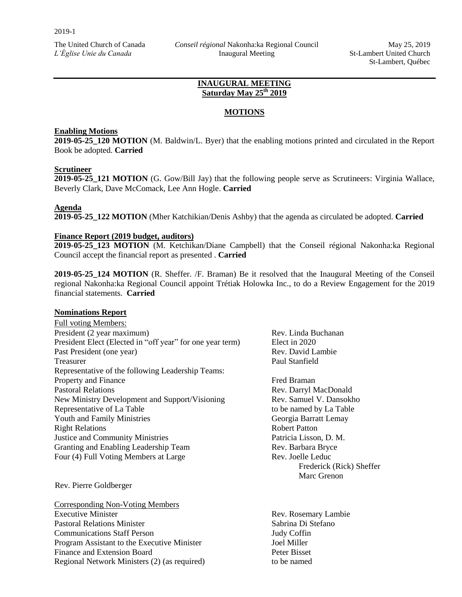### **INAUGURAL MEETING Saturday May 25th 2019**

# **MOTIONS**

### **Enabling Motions**

**2019-05-25\_120 MOTION** (M. Baldwin/L. Byer) that the enabling motions printed and circulated in the Report Book be adopted. **Carried**

### **Scrutineer**

**2019-05-25\_121 MOTION** (G. Gow/Bill Jay) that the following people serve as Scrutineers: Virginia Wallace, Beverly Clark, Dave McComack, Lee Ann Hogle. **Carried**

### **Agenda**

**2019-05-25\_122 MOTION** (Mher Katchikian/Denis Ashby) that the agenda as circulated be adopted. **Carried** 

### **Finance Report (2019 budget, auditors)**

**2019-05-25\_123 MOTION** (M. Ketchikan/Diane Campbell) that the Conseil régional Nakonha:ka Regional Council accept the financial report as presented . **Carried** 

**2019-05-25\_124 MOTION** (R. Sheffer. /F. Braman) Be it resolved that the Inaugural Meeting of the Conseil regional Nakonha:ka Regional Council appoint Trétiak Holowka Inc., to do a Review Engagement for the 2019 financial statements. **Carried** 

Frederick (Rick) Sheffer

Marc Grenon

### **Nominations Report**

Full voting Members: President (2 year maximum) Rev. Linda Buchanan President Elect (Elected in "off year" for one year term) Elect in 2020 Past President (one year) Rev. David Lambie Treasurer Paul Stanfield Representative of the following Leadership Teams: Property and Finance Fred Braman Pastoral Relations Rev. Darryl MacDonald New Ministry Development and Support/Visioning Rev. Samuel V. Dansokho Representative of La Table to be named by La Table to be named by La Table Youth and Family Ministries Georgia Barratt Lemay Right Relations **Right Relations** Robert Patton Justice and Community Ministries Patricia Lisson, D. M. Granting and Enabling Leadership Team Rev. Barbara Bryce Four (4) Full Voting Members at Large Rev. Joelle Leduc

Rev. Pierre Goldberger

| Corresponding Non-Voting Members             |                      |
|----------------------------------------------|----------------------|
| <b>Executive Minister</b>                    | Rev. Rosemary Lambie |
| <b>Pastoral Relations Minister</b>           | Sabrina Di Stefano   |
| <b>Communications Staff Person</b>           | <b>Judy Coffin</b>   |
| Program Assistant to the Executive Minister  | Joel Miller          |
| Finance and Extension Board                  | Peter Bisset         |
| Regional Network Ministers (2) (as required) | to be named          |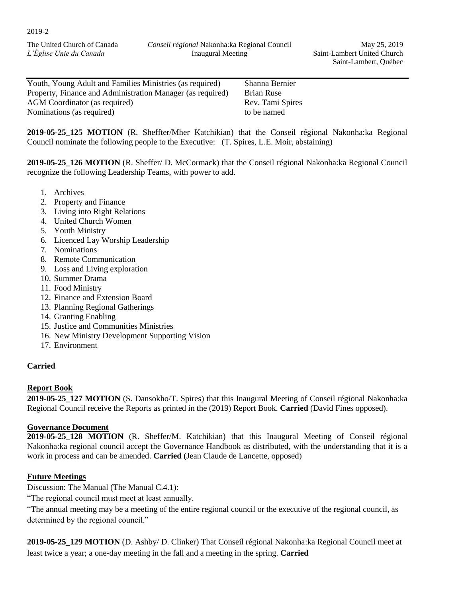The United Church of Canada *L'Église Unie du Canada*

Youth, Young Adult and Families Ministries (as required) Shanna Bernier Property, Finance and Administration Manager (as required) Brian Ruse AGM Coordinator (as required) Rev. Tami Spires Nominations (as required) to be named

**2019-05-25\_125 MOTION** (R. Sheffter/Mher Katchikian) that the Conseil régional Nakonha:ka Regional Council nominate the following people to the Executive: (T. Spires, L.E. Moir, abstaining)

**2019-05-25\_126 MOTION** (R. Sheffer/ D. McCormack) that the Conseil régional Nakonha:ka Regional Council recognize the following Leadership Teams, with power to add.

- 1. Archives
- 2. Property and Finance
- 3. Living into Right Relations
- 4. United Church Women
- 5. Youth Ministry
- 6. Licenced Lay Worship Leadership
- 7. Nominations
- 8. Remote Communication
- 9. Loss and Living exploration
- 10. Summer Drama
- 11. Food Ministry
- 12. Finance and Extension Board
- 13. Planning Regional Gatherings
- 14. Granting Enabling
- 15. Justice and Communities Ministries
- 16. New Ministry Development Supporting Vision
- 17. Environment

## **Carried**

### **Report Book**

**2019-05-25\_127 MOTION** (S. Dansokho/T. Spires) that this Inaugural Meeting of Conseil régional Nakonha:ka Regional Council receive the Reports as printed in the (2019) Report Book. **Carried** (David Fines opposed).

### **Governance Document**

**2019-05-25\_128 MOTION** (R. Sheffer/M. Katchikian) that this Inaugural Meeting of Conseil régional Nakonha:ka regional council accept the Governance Handbook as distributed, with the understanding that it is a work in process and can be amended. **Carried** (Jean Claude de Lancette, opposed)

## **Future Meetings**

Discussion: The Manual (The Manual C.4.1):

"The regional council must meet at least annually.

"The annual meeting may be a meeting of the entire regional council or the executive of the regional council, as determined by the regional council."

**2019-05-25\_129 MOTION** (D. Ashby/ D. Clinker) That Conseil régional Nakonha:ka Regional Council meet at least twice a year; a one-day meeting in the fall and a meeting in the spring. **Carried**